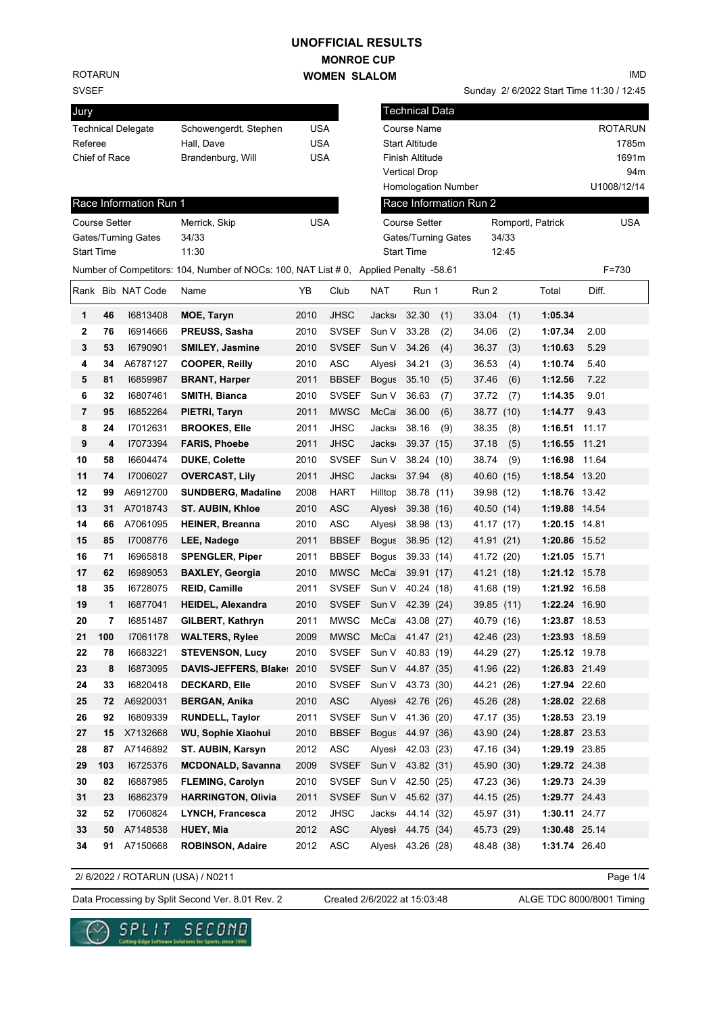## **MONROE CUP WOMEN SLALOM UNOFFICIAL RESULTS**

ROTARUN

SVSEF

| ◡▾◡∟                 |     |                           |                                                                                       |            |              |                  |                        |     |                        |       | $\frac{1}{2}$ bizozz bland inner independent |       |                |
|----------------------|-----|---------------------------|---------------------------------------------------------------------------------------|------------|--------------|------------------|------------------------|-----|------------------------|-------|----------------------------------------------|-------|----------------|
| Jury                 |     |                           |                                                                                       |            |              |                  | <b>Technical Data</b>  |     |                        |       |                                              |       |                |
|                      |     | <b>Technical Delegate</b> | Schowengerdt, Stephen                                                                 | <b>USA</b> |              |                  | Course Name            |     |                        |       |                                              |       | <b>ROTARUN</b> |
| Referee              |     |                           | Hall, Dave                                                                            | <b>USA</b> |              |                  | <b>Start Altitude</b>  |     |                        |       |                                              |       | 1785m          |
| Chief of Race        |     |                           | Brandenburg, Will                                                                     | <b>USA</b> |              |                  | <b>Finish Altitude</b> |     |                        |       |                                              |       | 1691m          |
|                      |     |                           |                                                                                       |            |              |                  | <b>Vertical Drop</b>   |     |                        |       |                                              |       | 94m            |
|                      |     |                           |                                                                                       |            |              |                  | Homologation Number    |     |                        |       |                                              |       | U1008/12/14    |
|                      |     | Race Information Run 1    |                                                                                       |            |              |                  |                        |     | Race Information Run 2 |       |                                              |       |                |
| <b>Course Setter</b> |     |                           | Merrick, Skip                                                                         | <b>USA</b> |              |                  | <b>Course Setter</b>   |     |                        |       | Romportl, Patrick                            |       | <b>USA</b>     |
|                      |     | Gates/Turning Gates       | 34/33                                                                                 |            |              |                  | Gates/Turning Gates    |     |                        | 34/33 |                                              |       |                |
| <b>Start Time</b>    |     |                           | 11:30                                                                                 |            |              |                  | <b>Start Time</b>      |     |                        | 12:45 |                                              |       |                |
|                      |     |                           | Number of Competitors: 104, Number of NOCs: 100, NAT List # 0, Applied Penalty -58.61 |            |              |                  |                        |     |                        |       |                                              |       | F=730          |
|                      |     | Rank Bib NAT Code         | Name                                                                                  | YB         | Club         | NAT              | Run 1                  |     | Run 2                  |       | Total                                        | Diff. |                |
| 1                    | 46  | 16813408                  | MOE, Taryn                                                                            | 2010       | <b>JHSC</b>  | Jacks            | 32.30                  | (1) | 33.04                  | (1)   | 1:05.34                                      |       |                |
| 2                    | 76  | 16914666                  | <b>PREUSS, Sasha</b>                                                                  | 2010       | <b>SVSEF</b> | Sun V            | 33.28                  | (2) | 34.06                  | (2)   | 1:07.34                                      | 2.00  |                |
| 3                    | 53  | 16790901                  | <b>SMILEY, Jasmine</b>                                                                | 2010       | <b>SVSEF</b> | Sun V            | 34.26                  | (4) | 36.37                  | (3)   | 1:10.63                                      | 5.29  |                |
| 4                    | 34  | A6787127                  | <b>COOPER, Reilly</b>                                                                 | 2010       | <b>ASC</b>   | Alvesl           | 34.21                  | (3) | 36.53                  | (4)   | 1:10.74                                      | 5.40  |                |
| 5                    | 81  | 16859987                  | <b>BRANT, Harper</b>                                                                  | 2011       | <b>BBSEF</b> | <b>Bogus</b>     | 35.10                  | (5) | 37.46                  | (6)   | 1:12.56                                      | 7.22  |                |
| 6                    | 32  | 16807461                  | SMITH, Bianca                                                                         | 2010       | <b>SVSEF</b> | Sun V            | 36.63                  | (7) | 37.72                  | (7)   | 1:14.35                                      | 9.01  |                |
| 7                    | 95  | 16852264                  | PIETRI, Taryn                                                                         | 2011       | <b>MWSC</b>  | McCa             | 36.00                  | (6) | 38.77 (10)             |       | 1:14.77                                      | 9.43  |                |
| 8                    | 24  | 17012631                  | <b>BROOKES, Elle</b>                                                                  | 2011       | <b>JHSC</b>  | <b>Jacks</b>     | 38.16                  | (9) | 38.35                  | (8)   | 1:16.51 11.17                                |       |                |
| 9                    | 4   | 17073394                  | <b>FARIS, Phoebe</b>                                                                  | 2011       | <b>JHSC</b>  | <b>Jacks</b>     | 39.37 (15)             |     | 37.18                  | (5)   | 1:16.55                                      | 11.21 |                |
| 10                   | 58  | 16604474                  | <b>DUKE, Colette</b>                                                                  | 2010       | <b>SVSEF</b> | Sun V            | 38.24 (10)             |     | 38.74                  | (9)   | 1:16.98                                      | 11.64 |                |
| 11                   | 74  | 17006027                  | <b>OVERCAST, Lily</b>                                                                 | 2011       | <b>JHSC</b>  | <b>Jacks</b>     | 37.94                  | (8) | 40.60 (15)             |       | 1:18.54 13.20                                |       |                |
| 12                   | 99  | A6912700                  | <b>SUNDBERG, Madaline</b>                                                             | 2008       | <b>HART</b>  | Hilltop          | 38.78 (11)             |     | 39.98 (12)             |       | 1:18.76 13.42                                |       |                |
| 13                   | 31  | A7018743                  | <b>ST. AUBIN, Khloe</b>                                                               | 2010       | ASC          | Alyesh           | 39.38 (16)             |     | 40.50 (14)             |       | 1:19.88 14.54                                |       |                |
| 14                   | 66  | A7061095                  | <b>HEINER, Breanna</b>                                                                | 2010       | <b>ASC</b>   | Alyesl           | 38.98 (13)             |     | 41.17 (17)             |       | 1:20.15 14.81                                |       |                |
| 15                   | 85  | 17008776                  | LEE, Nadege                                                                           | 2011       | <b>BBSEF</b> | <b>Bogus</b>     | 38.95 (12)             |     | 41.91 (21)             |       | 1:20.86 15.52                                |       |                |
| 16                   | 71  | 16965818                  | <b>SPENGLER, Piper</b>                                                                | 2011       | <b>BBSEF</b> | <b>Bogus</b>     | 39.33 (14)             |     | 41.72 (20)             |       | 1:21.05 15.71                                |       |                |
| 17                   | 62  | 16989053                  | <b>BAXLEY, Georgia</b>                                                                | 2010       | <b>MWSC</b>  | McCa             | 39.91 (17)             |     | 41.21 (18)             |       | 1:21.12 15.78                                |       |                |
| 18                   | 35  | 16728075                  | <b>REID, Camille</b>                                                                  | 2011       | <b>SVSEF</b> | Sun V            | 40.24 (18)             |     | 41.68 (19)             |       | 1:21.92 16.58                                |       |                |
| 19                   | 1   | 16877041                  | <b>HEIDEL, Alexandra</b>                                                              | 2010       | <b>SVSEF</b> | Sun V 42.39 (24) |                        |     | 39.85 (11)             |       | 1:22.24 16.90                                |       |                |
| 20                   | 7   | 16851487                  | <b>GILBERT, Kathryn</b>                                                               | 2011       | <b>MWSC</b>  | McCa             | 43.08 (27)             |     | 40.79 (16)             |       | 1:23.87 18.53                                |       |                |
| 21                   | 100 | 17061178                  | <b>WALTERS, Rylee</b>                                                                 | 2009       | MWSC McCa    |                  | 41.47 (21)             |     | 42.46 (23)             |       | 1:23.93 18.59                                |       |                |
| 22                   | 78  | 16683221                  | <b>STEVENSON, Lucy</b>                                                                | 2010       | SVSEF        | Sun V            | 40.83 (19)             |     | 44.29 (27)             |       | 1:25.12 19.78                                |       |                |
| 23                   | 8   | 16873095                  | <b>DAVIS-JEFFERS, Blake:</b>                                                          | 2010       | SVSEF Sun V  |                  | 44.87 (35)             |     | 41.96 (22)             |       | 1:26.83 21.49                                |       |                |
| 24                   | 33  | 16820418                  | <b>DECKARD, Elle</b>                                                                  | 2010       | SVSEF        | Sun V            | 43.73 (30)             |     | 44.21 (26)             |       | 1:27.94 22.60                                |       |                |
| 25                   | 72  | A6920031                  | <b>BERGAN, Anika</b>                                                                  | 2010       | <b>ASC</b>   | Alyesl           | 42.76 (26)             |     | 45.26 (28)             |       | 1:28.02 22.68                                |       |                |
| 26                   | 92  | 16809339                  | <b>RUNDELL, Taylor</b>                                                                | 2011       | SVSEF        | Sun V            | 41.36 (20)             |     | 47.17 (35)             |       | 1:28.53 23.19                                |       |                |
| 27                   | 15  | X7132668                  | WU, Sophie Xiaohui                                                                    | 2010       | <b>BBSEF</b> | <b>Bogus</b>     | 44.97 (36)             |     | 43.90 (24)             |       | 1:28.87 23.53                                |       |                |
| 28                   | 87  | A7146892                  | ST. AUBIN, Karsyn                                                                     | 2012       | <b>ASC</b>   | Alyesl           | 42.03 (23)             |     | 47.16 (34)             |       | 1:29.19 23.85                                |       |                |
| 29                   | 103 | 16725376                  | <b>MCDONALD, Savanna</b>                                                              | 2009       | <b>SVSEF</b> | Sun V            | 43.82 (31)             |     | 45.90 (30)             |       | 1:29.72 24.38                                |       |                |
| 30                   | 82  | 16887985                  | <b>FLEMING, Carolyn</b>                                                               | 2010       | <b>SVSEF</b> | Sun V            | 42.50 (25)             |     | 47.23 (36)             |       | 1:29.73 24.39                                |       |                |
| 31                   | 23  | 16862379                  | <b>HARRINGTON, Olivia</b>                                                             | 2011       | <b>SVSEF</b> | Sun V            | 45.62 (37)             |     | 44.15 (25)             |       | 1:29.77 24.43                                |       |                |
| 32                   | 52  | 17060824                  | LYNCH, Francesca                                                                      | 2012       | <b>JHSC</b>  | Jacks            | 44.14 (32)             |     | 45.97 (31)             |       | 1:30.11 24.77                                |       |                |
| 33                   | 50  | A7148538                  | <b>HUEY, Mia</b>                                                                      | 2012       | <b>ASC</b>   | Alyesl           | 44.75 (34)             |     | 45.73 (29)             |       | 1:30.48 25.14                                |       |                |
| 34                   | 91  | A7150668                  | <b>ROBINSON, Adaire</b>                                                               | 2012       | ASC          |                  | Alyesl 43.26 (28)      |     | 48.48 (38)             |       | 1:31.74 26.40                                |       |                |

2/ 6/2022 / ROTARUN (USA) / N0211

 $\sim$ 

Page 1/4

Data Processing by Split Second Ver. 8.01 Rev. 2 Created 2/6/2022 at 15:03:48 ALGE TDC 8000/8001 Timing

Created 2/6/2022 at 15:03:48

SPLIT SECOND re Solutions for Sports, since 1990

IMD

Sunday 2/ 6/2022 Start Time 11:30 / 12:45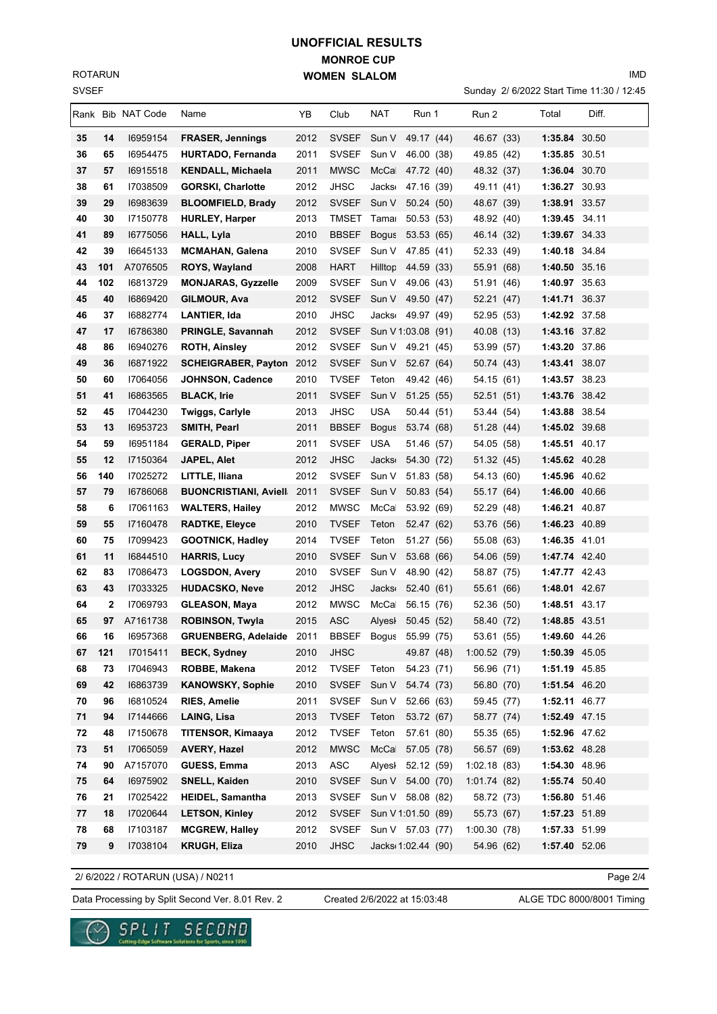SVSEF ROTARUN

## **MONROE CUP WOMEN SLALOM UNOFFICIAL RESULTS**

Sunday 2/ 6/2022 Start Time 11:30 / 12:45

IMD

|          |              | Rank Bib NAT Code | Name                            | ΥB   | Club                        | NAT                | Run 1              | Run 2                    | Total         | Diff. |
|----------|--------------|-------------------|---------------------------------|------|-----------------------------|--------------------|--------------------|--------------------------|---------------|-------|
| 35       | 14           | 16959154          | <b>FRASER, Jennings</b>         | 2012 | <b>SVSEF</b>                | Sun V              | 49.17 (44)         | 46.67 (33)               | 1:35.84 30.50 |       |
| 36       | 65           | 16954475          | HURTADO, Fernanda               | 2011 | <b>SVSEF</b>                | Sun V              | 46.00 (38)         | 49.85 (42)               | 1:35.85 30.51 |       |
| 37       | 57           | 16915518          | <b>KENDALL, Michaela</b>        | 2011 | <b>MWSC</b>                 | McCa               | 47.72 (40)         | 48.32 (37)               | 1:36.04 30.70 |       |
| 38       | 61           | 17038509          | <b>GORSKI, Charlotte</b>        | 2012 | <b>JHSC</b>                 | Jacks <sub>'</sub> | 47.16 (39)         | 49.11 (41)               | 1:36.27 30.93 |       |
| 39       | 29           | 16983639          | <b>BLOOMFIELD, Brady</b>        | 2012 | <b>SVSEF</b>                | Sun V              | 50.24 (50)         | 48.67 (39)               | 1:38.91 33.57 |       |
| 40       | 30           | 17150778          | <b>HURLEY, Harper</b>           | 2013 | TMSET                       | Tama               | 50.53 (53)         | 48.92 (40)               | 1:39.45 34.11 |       |
| 41       | 89           | 16775056          | <b>HALL, Lyla</b>               | 2010 | <b>BBSEF</b>                | <b>Bogus</b>       | 53.53 (65)         | 46.14 (32)               | 1:39.67 34.33 |       |
| 42       | 39           | 16645133          | <b>MCMAHAN, Galena</b>          | 2010 | <b>SVSEF</b>                | Sun V              | 47.85 (41)         | 52.33 (49)               | 1:40.18 34.84 |       |
| 43       | 101          | A7076505          | <b>ROYS, Wayland</b>            | 2008 | <b>HART</b>                 | Hilltop            | 44.59 (33)         | 55.91 (68)               | 1:40.50 35.16 |       |
| 44       | 102          | 16813729          | <b>MONJARAS, Gyzzelle</b>       | 2009 | <b>SVSEF</b>                | Sun V              | 49.06 (43)         | 51.91 (46)               | 1:40.97 35.63 |       |
| 45       | 40           | 16869420          | GILMOUR, Ava                    | 2012 | <b>SVSEF</b>                | Sun V              | 49.50 (47)         | 52.21 (47)               | 1:41.71 36.37 |       |
| 46       | 37           | 16882774          | LANTIER, Ida                    | 2010 | JHSC                        | Jacks <sub>'</sub> | 49.97 (49)         | 52.95 (53)               | 1:42.92 37.58 |       |
| 47       | 17           | 16786380          | <b>PRINGLE, Savannah</b>        | 2012 | <b>SVSEF</b>                | Sun V 1:03.08 (91) |                    | 40.08 (13)               | 1:43.16 37.82 |       |
| 48       | 86           | 16940276          | <b>ROTH, Ainsley</b>            | 2012 | <b>SVSEF</b>                | Sun V 49.21 (45)   |                    | 53.99 (57)               | 1:43.20 37.86 |       |
|          |              | 16871922          | <b>SCHEIGRABER, Payton 2012</b> |      | <b>SVSEF</b>                | Sun V              |                    |                          | 1:43.41 38.07 |       |
| 49<br>50 | 36           | 17064056          |                                 |      | <b>TVSEF</b>                |                    | 52.67 (64)         | 50.74 (43)<br>54.15 (61) | 1:43.57 38.23 |       |
|          | 60           |                   | <b>JOHNSON, Cadence</b>         | 2010 |                             | Teton              | 49.42 (46)         |                          |               |       |
| 51       | 41           | 16863565          | <b>BLACK, Irie</b>              | 2011 | <b>SVSEF</b>                | Sun V              | 51.25(55)          | 52.51(51)                | 1:43.76 38.42 |       |
| 52       | 45           | 17044230          | <b>Twiggs, Carlyle</b>          | 2013 | <b>JHSC</b>                 | <b>USA</b>         | 50.44 (51)         | 53.44 (54)               | 1:43.88 38.54 |       |
| 53       | 13           | 16953723          | SMITH, Pearl                    | 2011 | <b>BBSEF</b>                | <b>Bogus</b>       | 53.74 (68)         | 51.28 (44)               | 1:45.02 39.68 |       |
| 54       | 59           | 16951184          | <b>GERALD, Piper</b>            | 2011 | <b>SVSEF</b>                | <b>USA</b>         | 51.46 (57)         | 54.05 (58)               | 1:45.51 40.17 |       |
| 55       | 12           | 17150364          | <b>JAPEL, Alet</b>              | 2012 | <b>JHSC</b>                 | <b>Jacks</b>       | 54.30 (72)         | 51.32 (45)               | 1:45.62 40.28 |       |
| 56       | 140          | 17025272          | LITTLE, Iliana                  | 2012 | <b>SVSEF</b>                | Sun V              | 51.83 (58)         | 54.13 (60)               | 1:45.96 40.62 |       |
| 57       | 79           | 16786068          | <b>BUONCRISTIANI, Aviell</b>    | 2011 | <b>SVSEF</b>                | Sun V              | 50.83 (54)         | 55.17 (64)               | 1:46.00 40.66 |       |
| 58       | 6            | 17061163          | <b>WALTERS, Hailey</b>          | 2012 | <b>MWSC</b>                 | McCa               | 53.92 (69)         | 52.29 (48)               | 1:46.21 40.87 |       |
| 59       | 55           | 17160478          | <b>RADTKE, Eleyce</b>           | 2010 | <b>TVSEF</b>                | Teton              | 52.47 (62)         | 53.76 (56)               | 1:46.23 40.89 |       |
| 60       | 75           | 17099423          | <b>GOOTNICK, Hadley</b>         | 2014 | <b>TVSEF</b>                | Teton              | 51.27 (56)         | 55.08 (63)               | 1:46.35 41.01 |       |
| 61       | 11           | 16844510          | <b>HARRIS, Lucy</b>             | 2010 | <b>SVSEF</b>                | Sun V              | 53.68 (66)         | 54.06 (59)               | 1:47.74 42.40 |       |
| 62       | 83           | 17086473          | <b>LOGSDON, Avery</b>           | 2010 | <b>SVSEF</b>                | Sun V              | 48.90 (42)         | 58.87 (75)               | 1:47.77 42.43 |       |
| 63       | 43           | 17033325          | <b>HUDACSKO, Neve</b>           | 2012 | <b>JHSC</b>                 | <b>Jacks</b>       | 52.40 (61)         | 55.61 (66)               | 1:48.01 42.67 |       |
| 64       | $\mathbf{2}$ | 17069793          | <b>GLEASON, Maya</b>            | 2012 | <b>MWSC</b>                 | McCa               | 56.15 (76)         | 52.36 (50)               | 1:48.51 43.17 |       |
| 65       | 97           | A7161738          | <b>ROBINSON, Twyla</b>          | 2015 | <b>ASC</b>                  | Alyesh             | 50.45 (52)         | 58.40 (72)               | 1:48.85 43.51 |       |
| 66       | 16           | 16957368          | <b>GRUENBERG, Adelaide</b>      | 2011 | BBSEF Bogus 55.99 (75)      |                    |                    | 53.61 (55)               | 1:49.60 44.26 |       |
| 67       | 121          | 17015411          | <b>BECK, Sydney</b>             | 2010 | <b>JHSC</b>                 |                    | 49.87 (48)         | 1:00.52(79)              | 1:50.39 45.05 |       |
| 68       | 73           | 17046943          | ROBBE, Makena                   | 2012 | <b>TVSEF</b>                | Teton              | 54.23 (71)         | 56.96 (71)               | 1:51.19 45.85 |       |
| 69       | 42           | 16863739          | <b>KANOWSKY, Sophie</b>         | 2010 | <b>SVSEF</b>                | Sun V              | 54.74 (73)         | 56.80 (70)               | 1:51.54 46.20 |       |
| 70       | 96           | 16810524          | <b>RIES, Amelie</b>             | 2011 | <b>SVSEF</b>                | Sun V 52.66 (63)   |                    | 59.45 (77)               | 1:52.11 46.77 |       |
| 71       | 94           | 17144666          | LAING, Lisa                     | 2013 | <b>TVSEF</b>                | Teton              | 53.72 (67)         | 58.77 (74)               | 1:52.49 47.15 |       |
| 72       | 48           | 17150678          | TITENSOR, Kimaaya               | 2012 | <b>TVSEF</b>                | Teton              | 57.61 (80)         | 55.35 (65)               | 1:52.96 47.62 |       |
| 73       | 51           | 17065059          | <b>AVERY, Hazel</b>             | 2012 | <b>MWSC</b>                 | McCa               | 57.05 (78)         | 56.57 (69)               | 1:53.62 48.28 |       |
| 74       | 90           | A7157070          | <b>GUESS, Emma</b>              | 2013 | $\boldsymbol{\mathsf{ASC}}$ | Alyesi 52.12 (59)  |                    | 1:02.18(83)              | 1:54.30 48.96 |       |
| 75       | 64           | 16975902          | SNELL, Kaiden                   | 2010 | <b>SVSEF</b>                | Sun V              | 54.00 (70)         | 1:01.74(82)              | 1:55.74 50.40 |       |
| 76       | 21           | 17025422          | HEIDEL, Samantha                | 2013 | <b>SVSEF</b>                | Sun V 58.08 (82)   |                    | 58.72 (73)               | 1:56.80 51.46 |       |
| 77       | 18           | 17020644          | <b>LETSON, Kinley</b>           | 2012 | <b>SVSEF</b>                | Sun V 1:01.50 (89) |                    | 55.73 (67)               | 1:57.23 51.89 |       |
| 78       | 68           | 17103187          | <b>MCGREW, Halley</b>           | 2012 | <b>SVSEF</b>                | Sun V 57.03 (77)   |                    | 1:00.30(78)              | 1:57.33 51.99 |       |
| 79       | 9            | 17038104          | <b>KRUGH, Eliza</b>             | 2010 | <b>JHSC</b>                 |                    | Jacks 1:02.44 (90) | 54.96 (62)               | 1:57.40 52.06 |       |
|          |              |                   |                                 |      |                             |                    |                    |                          |               |       |

2/ 6/2022 / ROTARUN (USA) / N0211

Page 2/4

Data Processing by Split Second Ver. 8.01 Rev. 2 Created 2/6/2022 at 15:03:48 ALGE TDC 8000/8001 Timing

Created 2/6/2022 at 15:03:48

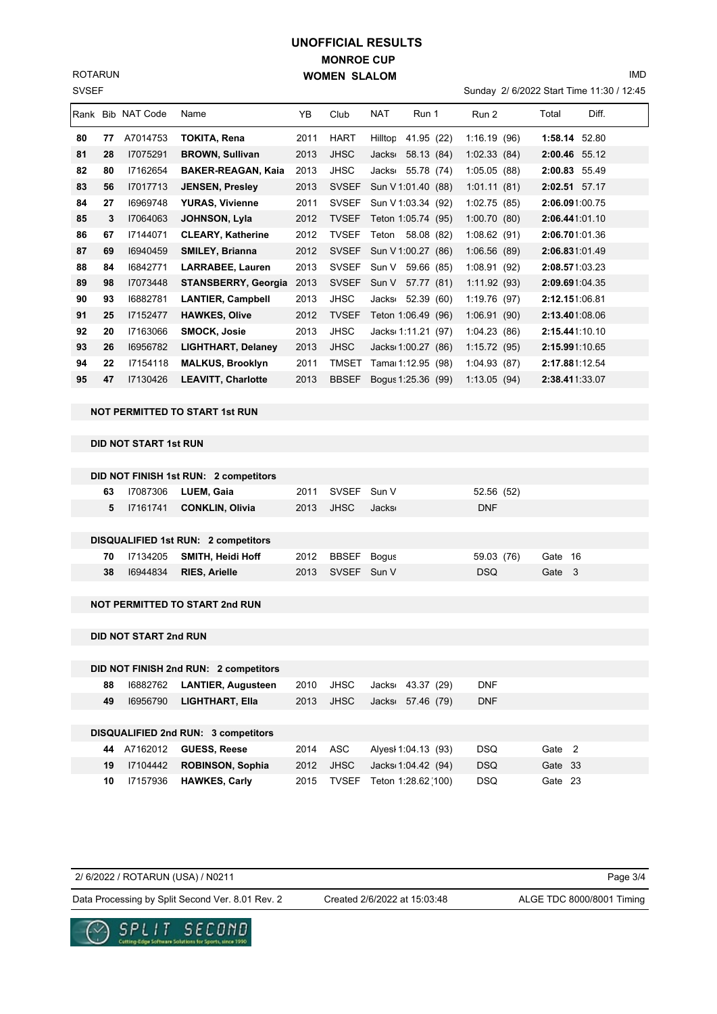SVSEF ROTARUN

## **MONROE CUP WOMEN SLALOM UNOFFICIAL RESULTS**

Sunday 2/ 6/2022 Start Time 11:30 / 12:45

|    |    | Rank Bib NAT Code | Name                       | YB   | Club         | <b>NAT</b>         | Run 1              | Run 2        | Diff.<br>Total |  |
|----|----|-------------------|----------------------------|------|--------------|--------------------|--------------------|--------------|----------------|--|
| 80 | 77 | A7014753          | TOKITA, Rena               | 2011 | <b>HART</b>  | Hilltop            | 41.95 (22)         | 1:16.19(96)  | 1:58.14 52.80  |  |
| 81 | 28 | 17075291          | <b>BROWN, Sullivan</b>     | 2013 | <b>JHSC</b>  | Jacks <sub>1</sub> | 58.13 (84)         | 1:02.33(84)  | 2:00.46 55.12  |  |
| 82 | 80 | 17162654          | <b>BAKER-REAGAN, Kaia</b>  | 2013 | JHSC         | <b>Jacks</b>       | 55.78 (74)         | 1:05.05(88)  | 2:00.83 55.49  |  |
| 83 | 56 | 17017713          | <b>JENSEN, Presley</b>     | 2013 | <b>SVSEF</b> |                    | Sun V 1:01.40 (88) | 1:01.11(81)  | 2:02.51 57.17  |  |
| 84 | 27 | 16969748          | <b>YURAS, Vivienne</b>     | 2011 | <b>SVSEF</b> |                    | Sun V 1:03.34 (92) | 1:02.75(85)  | 2:06.091:00.75 |  |
| 85 | 3  | 17064063          | JOHNSON, Lyla              | 2012 | <b>TVSEF</b> |                    | Teton 1:05.74 (95) | 1:00.70(80)  | 2:06.441:01.10 |  |
| 86 | 67 | 17144071          | <b>CLEARY, Katherine</b>   | 2012 | <b>TVSEF</b> | Teton              | 58.08 (82)         | 1:08.62(91)  | 2:06.701:01.36 |  |
| 87 | 69 | 16940459          | <b>SMILEY, Brianna</b>     | 2012 | <b>SVSEF</b> |                    | Sun V 1:00.27 (86) | 1:06.56(89)  | 2:06.831:01.49 |  |
| 88 | 84 | 16842771          | <b>LARRABEE, Lauren</b>    | 2013 | <b>SVSEF</b> | Sun V              | 59.66 (85)         | 1:08.91(92)  | 2:08.571:03.23 |  |
| 89 | 98 | 17073448          | <b>STANSBERRY, Georgia</b> | 2013 | <b>SVSEF</b> | Sun V              | 57.77 (81)         | 1:11.92(93)  | 2:09.691:04.35 |  |
| 90 | 93 | 16882781          | <b>LANTIER, Campbell</b>   | 2013 | JHSC         | Jacks              | 52.39 (60)         | 1:19.76 (97) | 2:12.151:06.81 |  |
| 91 | 25 | 17152477          | <b>HAWKES, Olive</b>       | 2012 | <b>TVSEF</b> |                    | Teton 1:06.49 (96) | 1:06.91(90)  | 2:13.401:08.06 |  |
| 92 | 20 | 17163066          | <b>SMOCK, Josie</b>        | 2013 | JHSC         |                    | Jacks 1:11.21 (97) | 1:04.23(86)  | 2:15.441:10.10 |  |
| 93 | 26 | 16956782          | <b>LIGHTHART, Delaney</b>  | 2013 | <b>JHSC</b>  |                    | Jacks 1:00.27 (86) | 1:15.72(95)  | 2:15.991:10.65 |  |
| 94 | 22 | 17154118          | <b>MALKUS, Brooklyn</b>    | 2011 | <b>TMSET</b> |                    | Tama 1:12.95 (98)  | 1:04.93(87)  | 2:17.881:12.54 |  |
| 95 | 47 | 17130426          | <b>LEAVITT, Charlotte</b>  | 2013 | <b>BBSEF</b> |                    | Bogus 1:25.36 (99) | 1:13.05(94)  | 2:38.411:33.07 |  |

**NOT PERMITTED TO START 1st RUN**

## **DID NOT START 1st RUN**

|    |          | DID NOT FINISH 1st RUN: 2 competitors      |      |             |       |            |         |  |
|----|----------|--------------------------------------------|------|-------------|-------|------------|---------|--|
| 63 | 17087306 | LUEM, Gaia                                 | 2011 | SVSEF Sun V |       | 52.56 (52) |         |  |
| 5  | 17161741 | <b>CONKLIN, Olivia</b>                     | 2013 | JHSC        | Jacks | <b>DNF</b> |         |  |
|    |          |                                            |      |             |       |            |         |  |
|    |          | <b>DISQUALIFIED 1st RUN: 2 competitors</b> |      |             |       |            |         |  |
| 70 | 17134205 | SMITH, Heidi Hoff                          | 2012 | BBSEF Bogus |       | 59.03 (76) | Gate 16 |  |
| 38 | 16944834 | <b>RIES, Arielle</b>                       | 2013 | SVSEF Sun V |       | <b>DSQ</b> | Gate 3  |  |
|    |          |                                            |      |             |       |            |         |  |
|    |          | <b>NOT PERMITTED TO START 2nd RUN</b>      |      |             |       |            |         |  |

**DID NOT START 2nd RUN**

| DID NOT FINISH 2nd RUN: 2 competitors       |                      |                                          |         |
|---------------------------------------------|----------------------|------------------------------------------|---------|
| <b>LANTIER, Augusteen</b><br>88<br>16882762 | <b>JHSC</b><br>2010  | <b>DNF</b><br>43.37 (29)<br>Jacks⊨       |         |
| <b>LIGHTHART, Ella</b><br>16956790<br>49    | <b>JHSC</b><br>2013  | <b>DNF</b><br>57.46 (79)<br><b>Jacks</b> |         |
|                                             |                      |                                          |         |
| DISQUALIFIED 2nd RUN: 3 competitors         |                      |                                          |         |
| <b>GUESS, Reese</b><br>A7162012<br>44       | ASC<br>2014          | <b>DSQ</b><br>Alves 1:04.13 (93)         | Gate 2  |
| <b>ROBINSON, Sophia</b><br>19<br>17104442   | <b>JHSC</b><br>2012  | <b>DSQ</b><br>Jacks 1:04.42 (94)         | Gate 33 |
| <b>HAWKES, Carly</b><br>17157936<br>10      | 2015<br><b>TVSEF</b> | <b>DSQ</b><br>Teton 1:28.62(100)         | Gate 23 |

| 2/ 6/2022 / ROTARUN (USA) / N0211                |                              | Page 3/4                  |
|--------------------------------------------------|------------------------------|---------------------------|
| Data Processing by Split Second Ver. 8.01 Rev. 2 | Created 2/6/2022 at 15:03:48 | ALGE TDC 8000/8001 Timing |